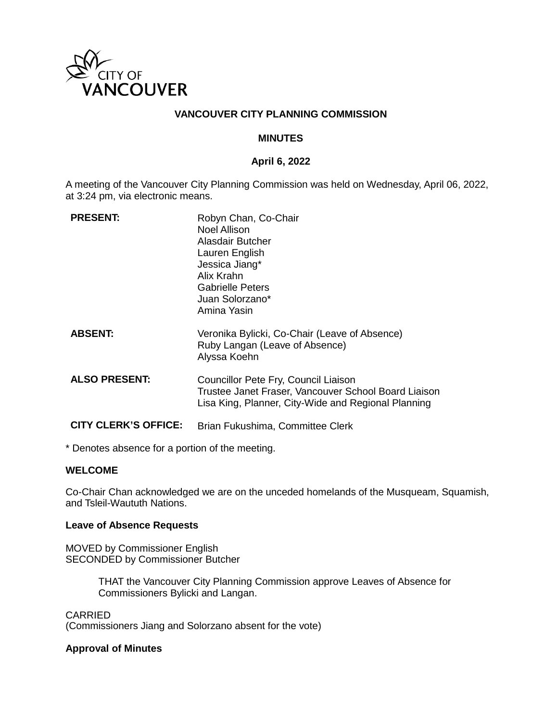

### **VANCOUVER CITY PLANNING COMMISSION**

#### **MINUTES**

#### **April 6, 2022**

A meeting of the Vancouver City Planning Commission was held on Wednesday, April 06, 2022, at 3:24 pm, via electronic means.

| <b>PRESENT:</b>             | Robyn Chan, Co-Chair<br>Noel Allison<br>Alasdair Butcher<br>Lauren English<br>Jessica Jiang*<br>Alix Krahn<br>Gabrielle Peters<br>Juan Solorzano*<br>Amina Yasin |
|-----------------------------|------------------------------------------------------------------------------------------------------------------------------------------------------------------|
| <b>ABSENT:</b>              | Veronika Bylicki, Co-Chair (Leave of Absence)<br>Ruby Langan (Leave of Absence)<br>Alyssa Koehn                                                                  |
| <b>ALSO PRESENT:</b>        | Councillor Pete Fry, Council Liaison<br>Trustee Janet Fraser, Vancouver School Board Liaison<br>Lisa King, Planner, City-Wide and Regional Planning              |
| <b>CITY CLERK'S OFFICE:</b> | Brian Fukushima, Committee Clerk                                                                                                                                 |

\* Denotes absence for a portion of the meeting.

#### **WELCOME**

Co-Chair Chan acknowledged we are on the unceded homelands of the Musqueam, Squamish, and Tsleil-Waututh Nations.

#### **Leave of Absence Requests**

MOVED by Commissioner English SECONDED by Commissioner Butcher

> THAT the Vancouver City Planning Commission approve Leaves of Absence for Commissioners Bylicki and Langan.

CARRIED (Commissioners Jiang and Solorzano absent for the vote)

#### **Approval of Minutes**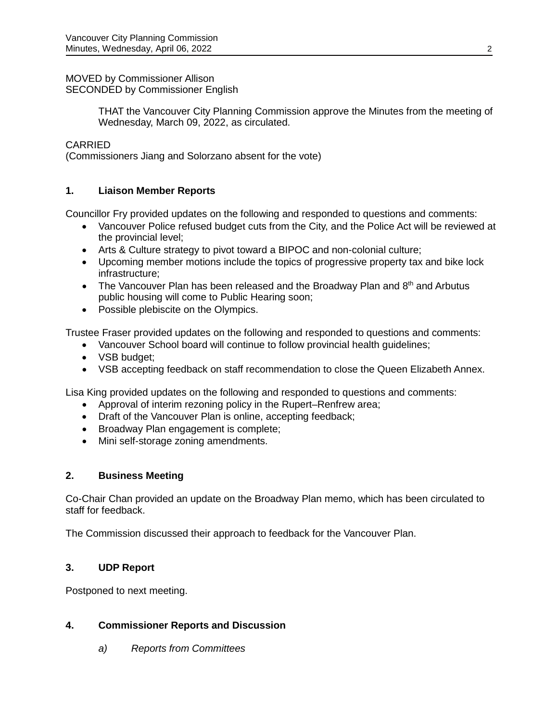#### MOVED by Commissioner Allison SECONDED by Commissioner English

THAT the Vancouver City Planning Commission approve the Minutes from the meeting of Wednesday, March 09, 2022, as circulated.

## CARRIED

(Commissioners Jiang and Solorzano absent for the vote)

# **1. Liaison Member Reports**

Councillor Fry provided updates on the following and responded to questions and comments:

- Vancouver Police refused budget cuts from the City, and the Police Act will be reviewed at the provincial level;
- Arts & Culture strategy to pivot toward a BIPOC and non-colonial culture;
- Upcoming member motions include the topics of progressive property tax and bike lock infrastructure;
- The Vancouver Plan has been released and the Broadway Plan and  $8<sup>th</sup>$  and Arbutus public housing will come to Public Hearing soon;
- Possible plebiscite on the Olympics.

Trustee Fraser provided updates on the following and responded to questions and comments:

- Vancouver School board will continue to follow provincial health guidelines;
- VSB budget:
- VSB accepting feedback on staff recommendation to close the Queen Elizabeth Annex.

Lisa King provided updates on the following and responded to questions and comments:

- Approval of interim rezoning policy in the Rupert–Renfrew area;
- Draft of the Vancouver Plan is online, accepting feedback;
- Broadway Plan engagement is complete;
- Mini self-storage zoning amendments.

## **2. Business Meeting**

Co-Chair Chan provided an update on the Broadway Plan memo, which has been circulated to staff for feedback.

The Commission discussed their approach to feedback for the Vancouver Plan.

# **3. UDP Report**

Postponed to next meeting.

## **4. Commissioner Reports and Discussion**

*a) Reports from Committees*